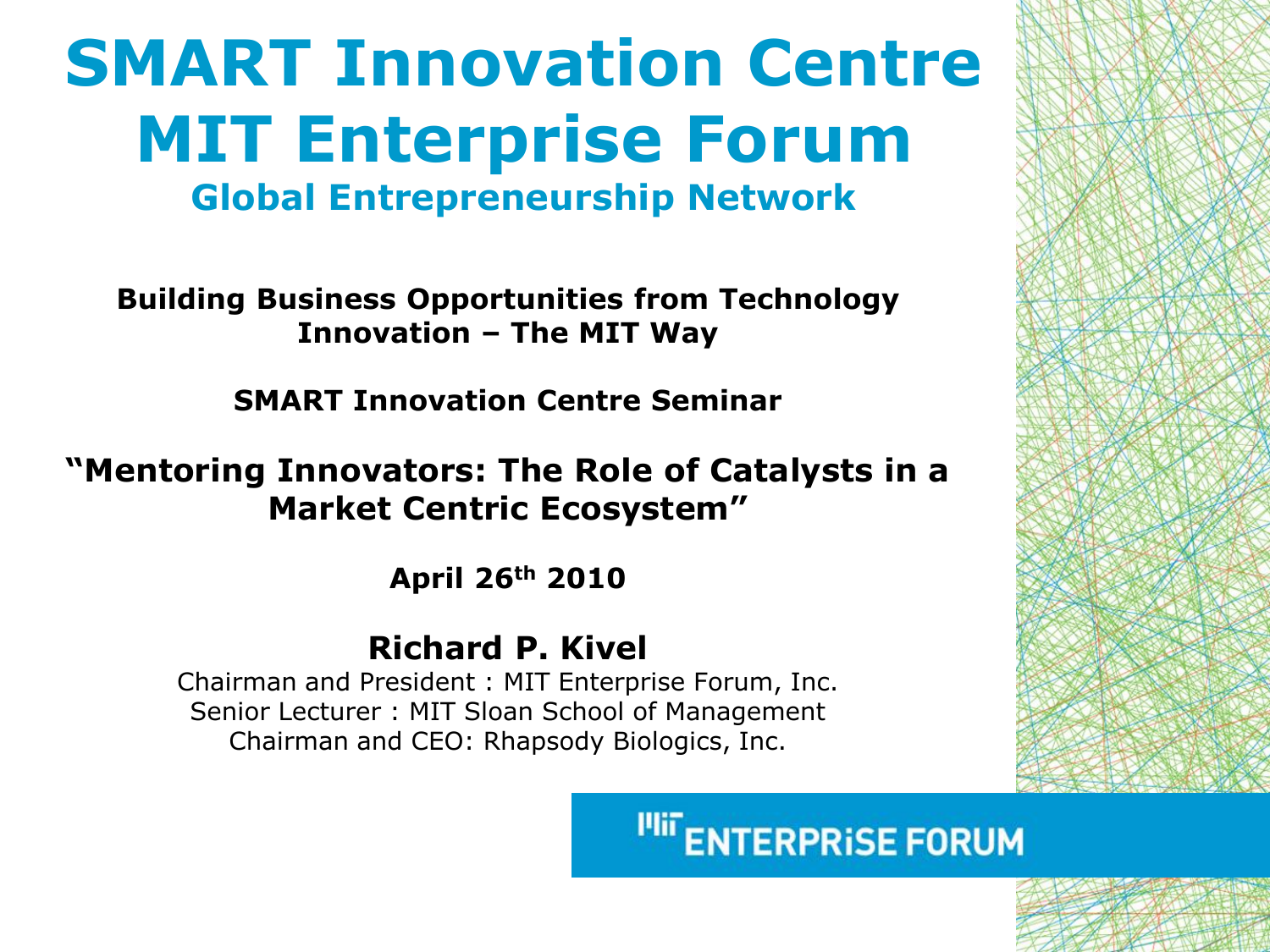## **SMART Innovation Centre MIT Enterprise Forum Global Entrepreneurship Network**

**Building Business Opportunities from Technology Innovation – The MIT Way** 

**SMART Innovation Centre Seminar**

#### **"Mentoring Innovators: The Role of Catalysts in a Market Centric Ecosystem"**

**April 26th 2010**

#### **Richard P. Kivel**

Chairman and President : MIT Enterprise Forum, Inc. Senior Lecturer : MIT Sloan School of Management Chairman and CEO: Rhapsody Biologics, Inc.

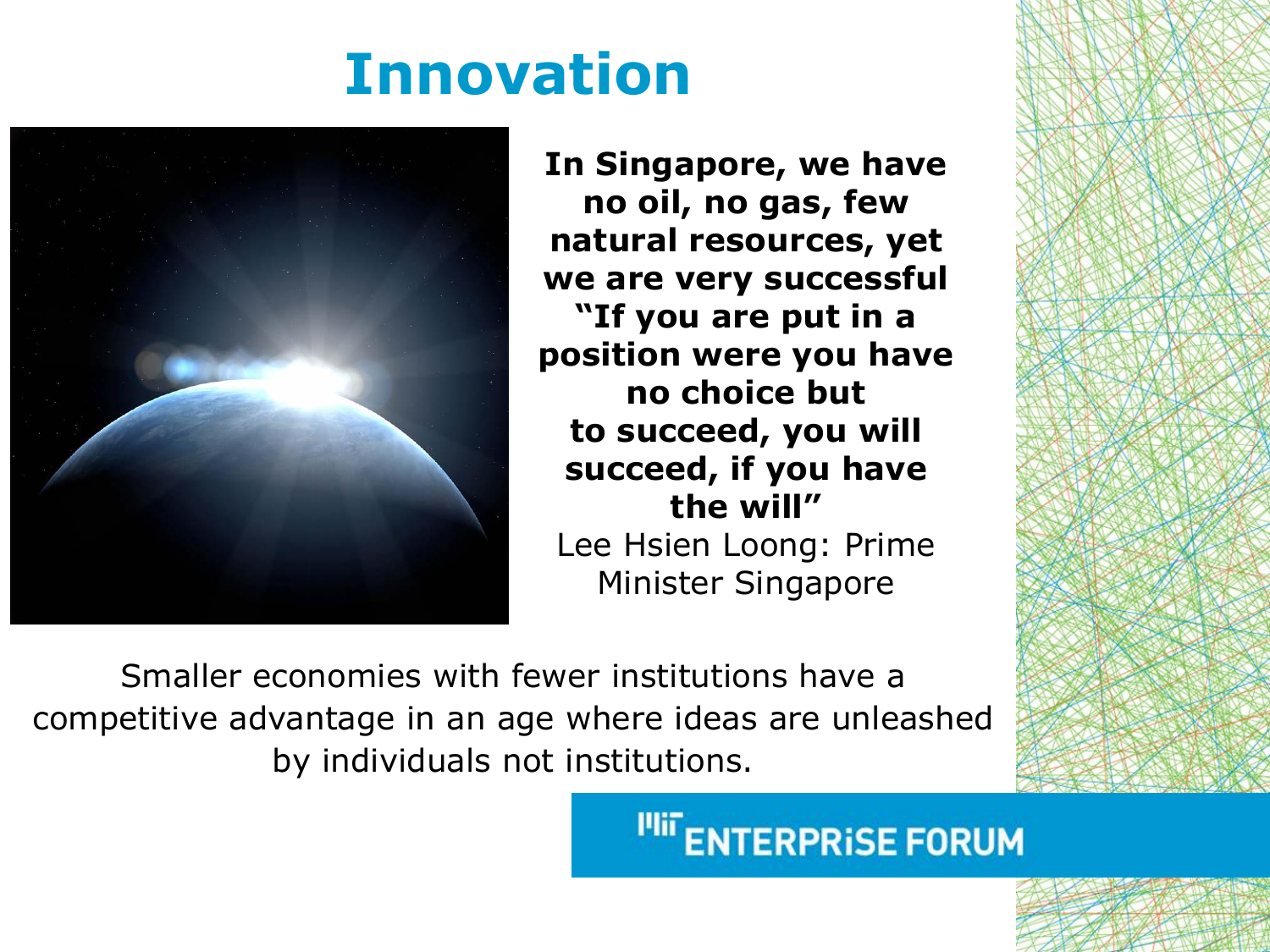## **Innovation**



**In Singapore, we have no oil, no gas, few natural resources, yet we are very successful "If you are put in a position were you have no choice but to succeed, you will succeed, if you have the will"** Lee Hsien Loong: Prime Minister Singapore

Smaller economies with fewer institutions have a competitive advantage in an age where ideas are unleashed by individuals not institutions.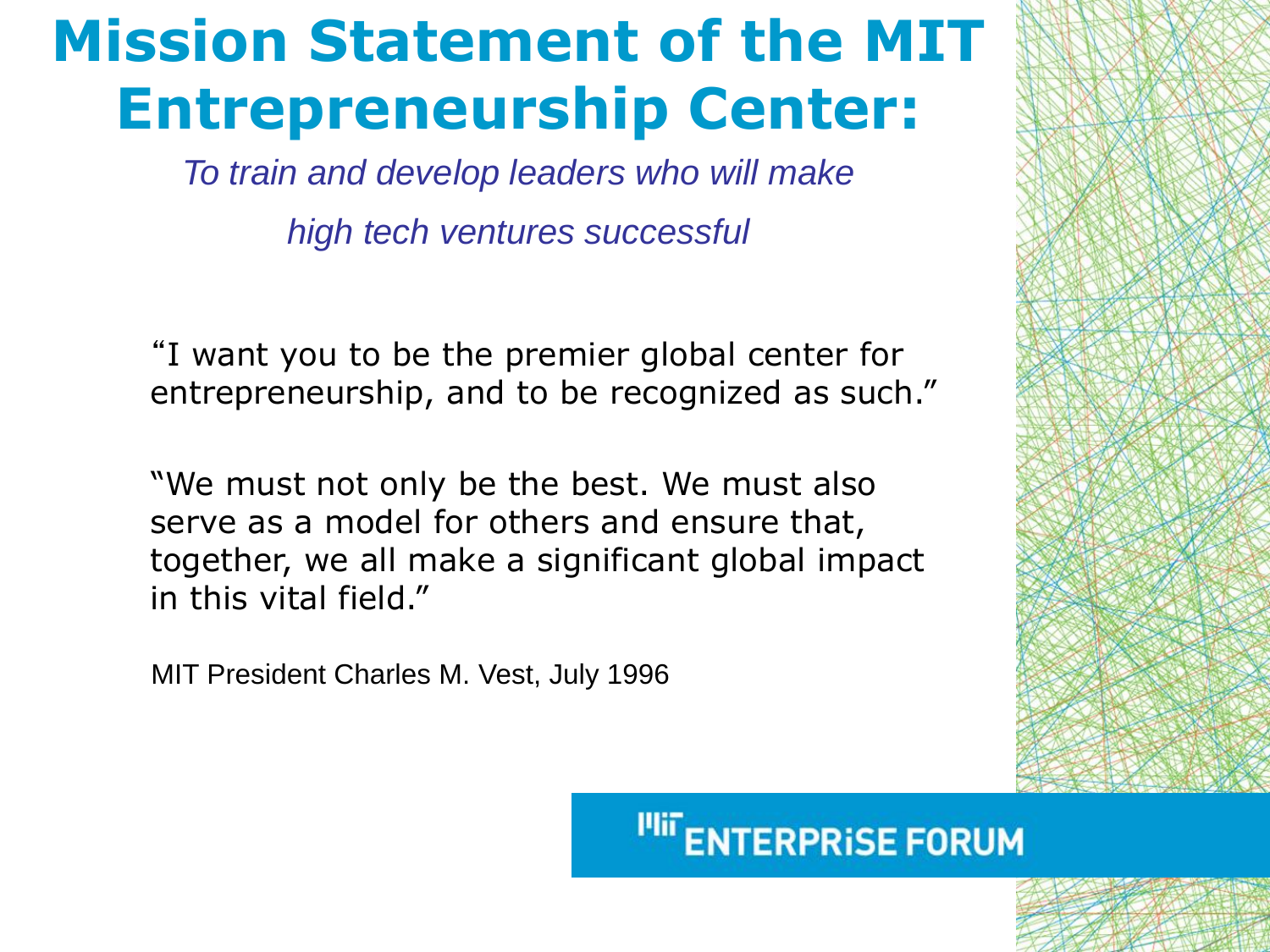## **Mission Statement of the MIT Entrepreneurship Center:**

*To train and develop leaders who will make* 

*high tech ventures successful*

"I want you to be the premier global center for entrepreneurship, and to be recognized as such."

"We must not only be the best. We must also serve as a model for others and ensure that, together, we all make a significant global impact in this vital field."

MIT President Charles M. Vest, July 1996



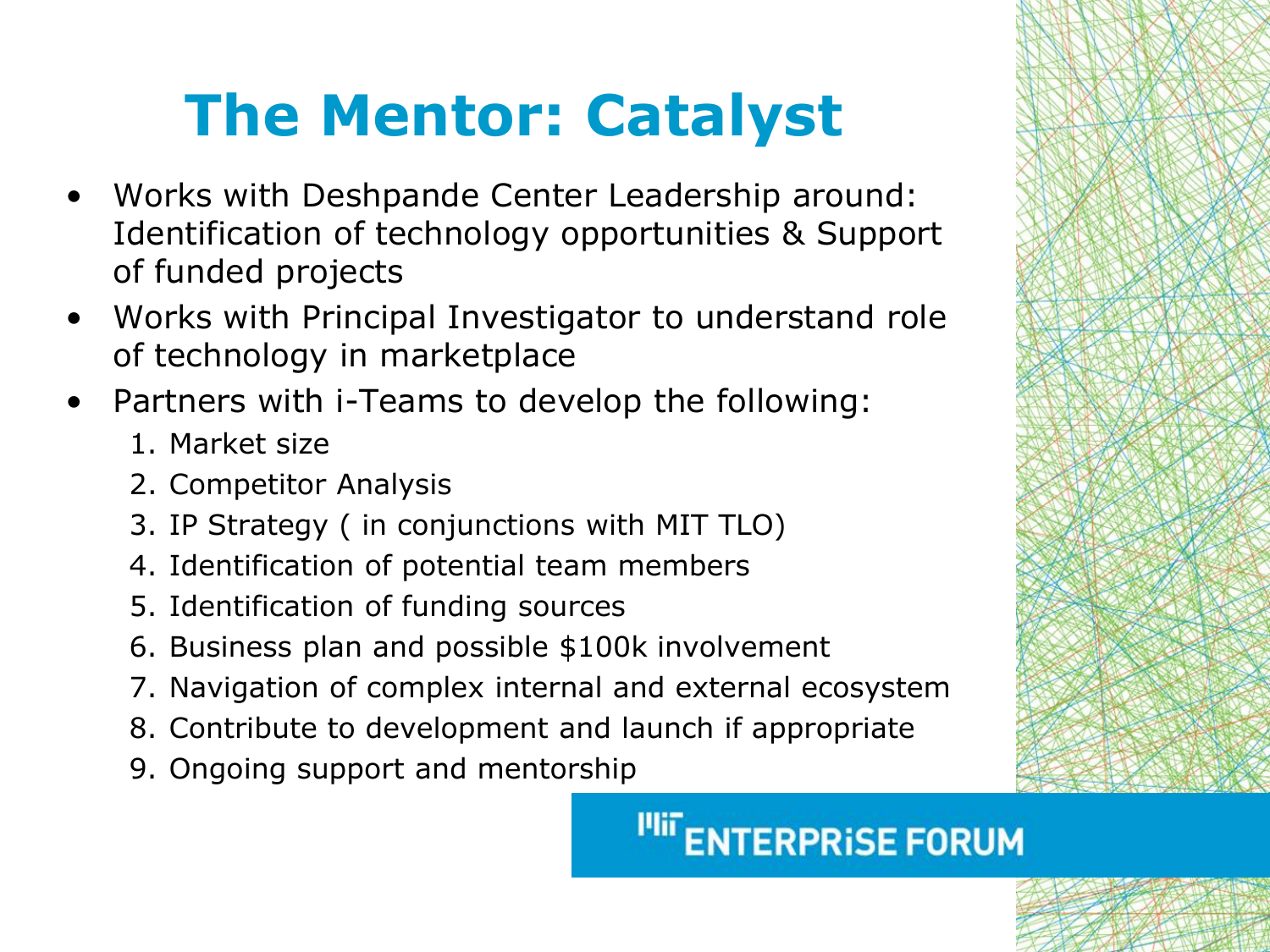# **The Mentor: Catalyst**

- Works with Deshpande Center Leadership around: Identification of technology opportunities & Support of funded projects
- Works with Principal Investigator to understand role of technology in marketplace
- Partners with i-Teams to develop the following:
	- 1. Market size
	- 2. Competitor Analysis
	- 3. IP Strategy ( in conjunctions with MIT TLO)
	- 4. Identification of potential team members
	- 5. Identification of funding sources
	- 6. Business plan and possible \$100k involvement
	- 7. Navigation of complex internal and external ecosystem
	- 8. Contribute to development and launch if appropriate
	- 9. Ongoing support and mentorship

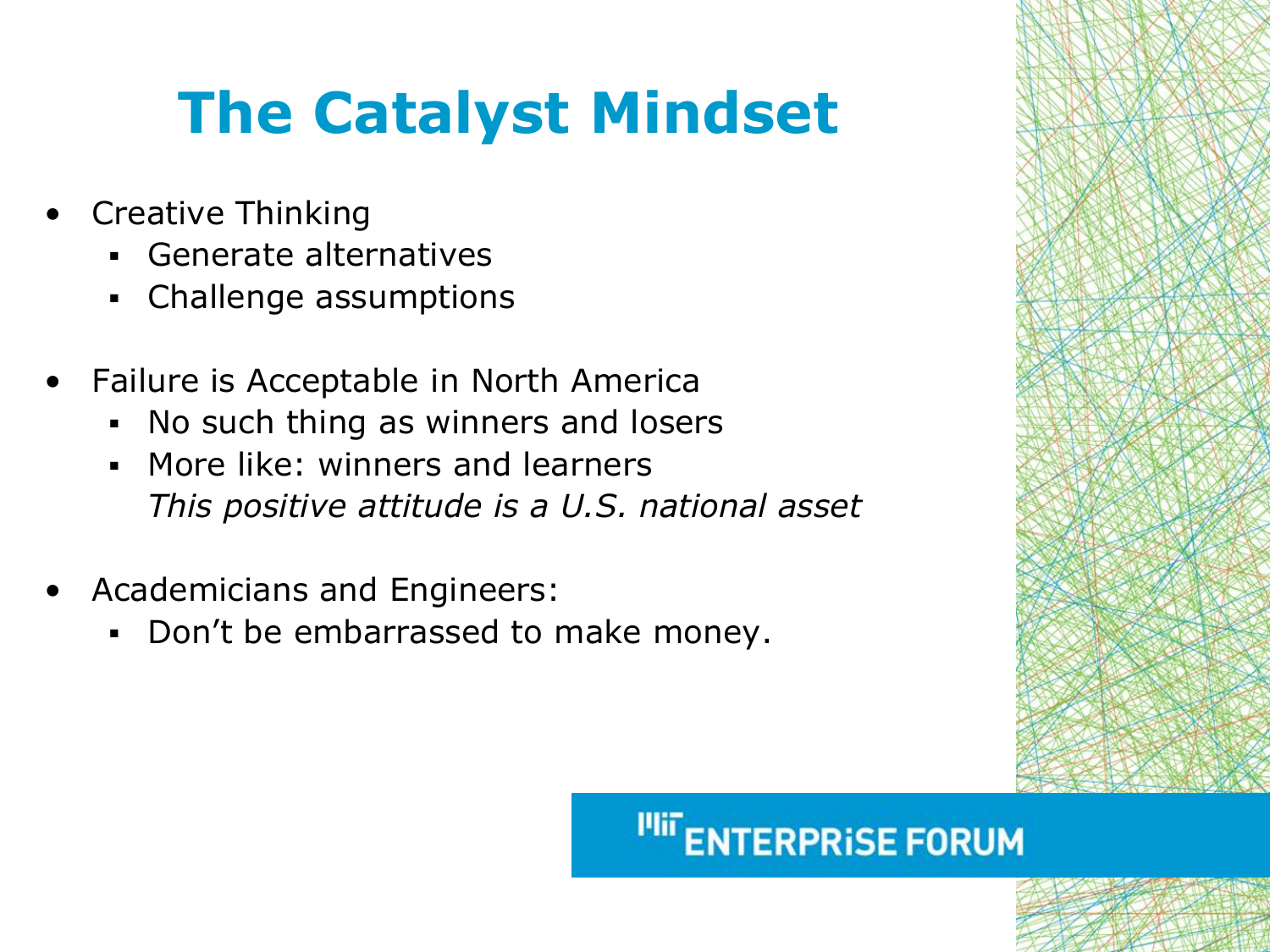# **The Catalyst Mindset**

- Creative Thinking
	- Generate alternatives
	- Challenge assumptions
- Failure is Acceptable in North America
	- No such thing as winners and losers
	- More like: winners and learners *This positive attitude is a U.S. national asset*
- Academicians and Engineers:
	- Don't be embarrassed to make money.

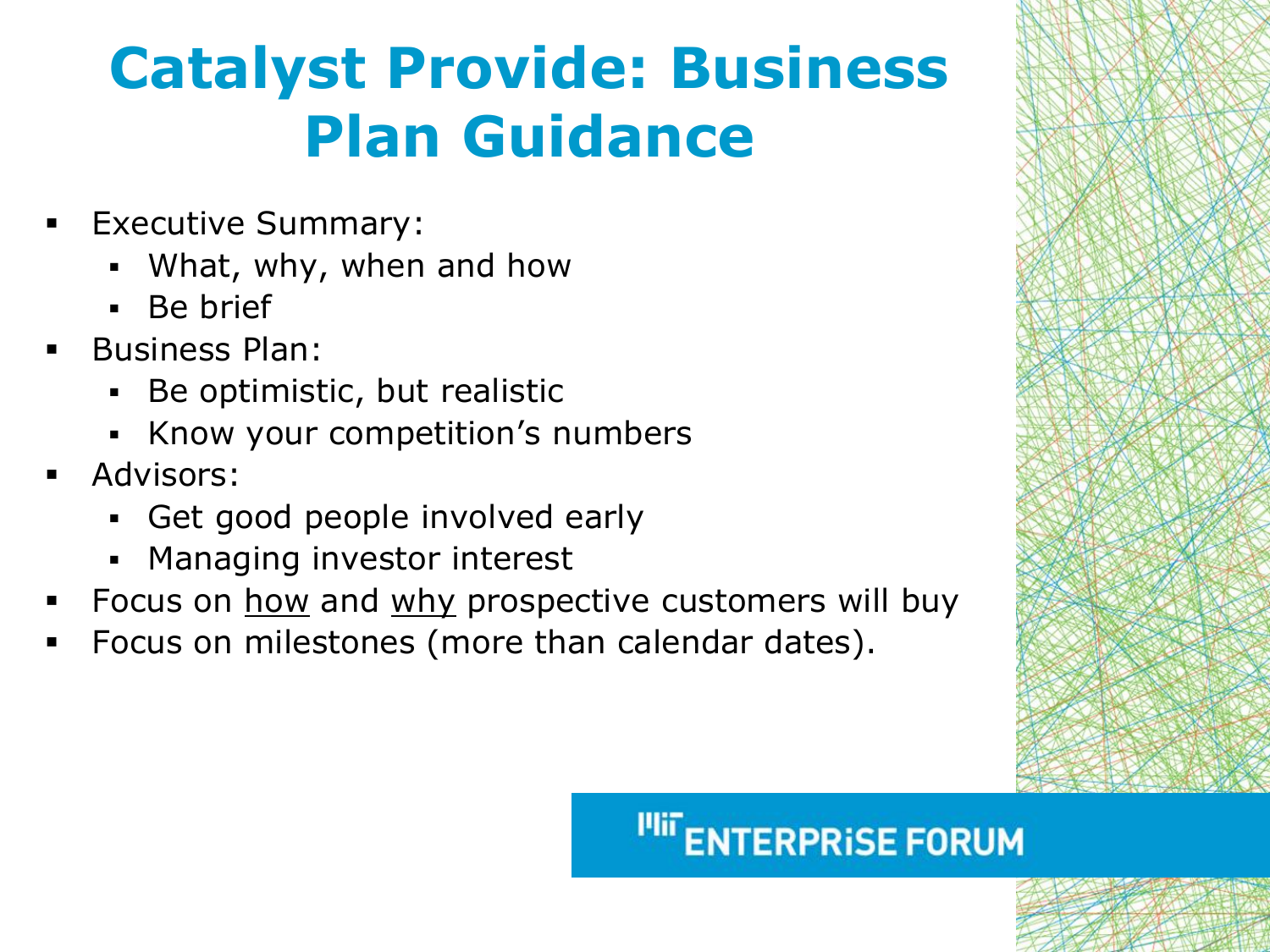# **Catalyst Provide: Business Plan Guidance**

- Executive Summary:
	- What, why, when and how
	- Be brief
- **Business Plan:** 
	- Be optimistic, but realistic
	- Know your competition's numbers
- Advisors:
	- Get good people involved early
	- Managing investor interest
- Focus on how and why prospective customers will buy
- Focus on milestones (more than calendar dates).

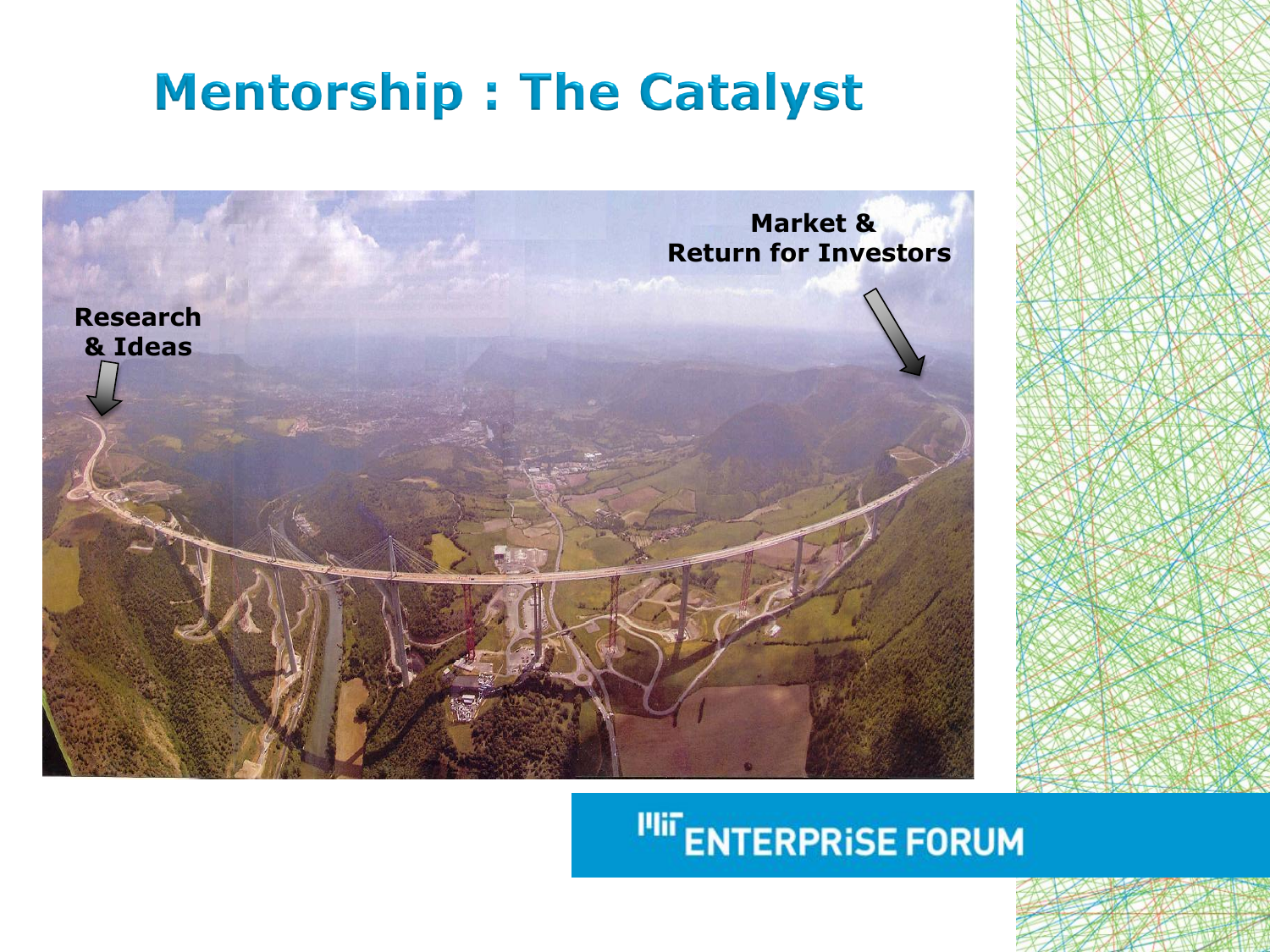## **Mentorship: The Catalyst**

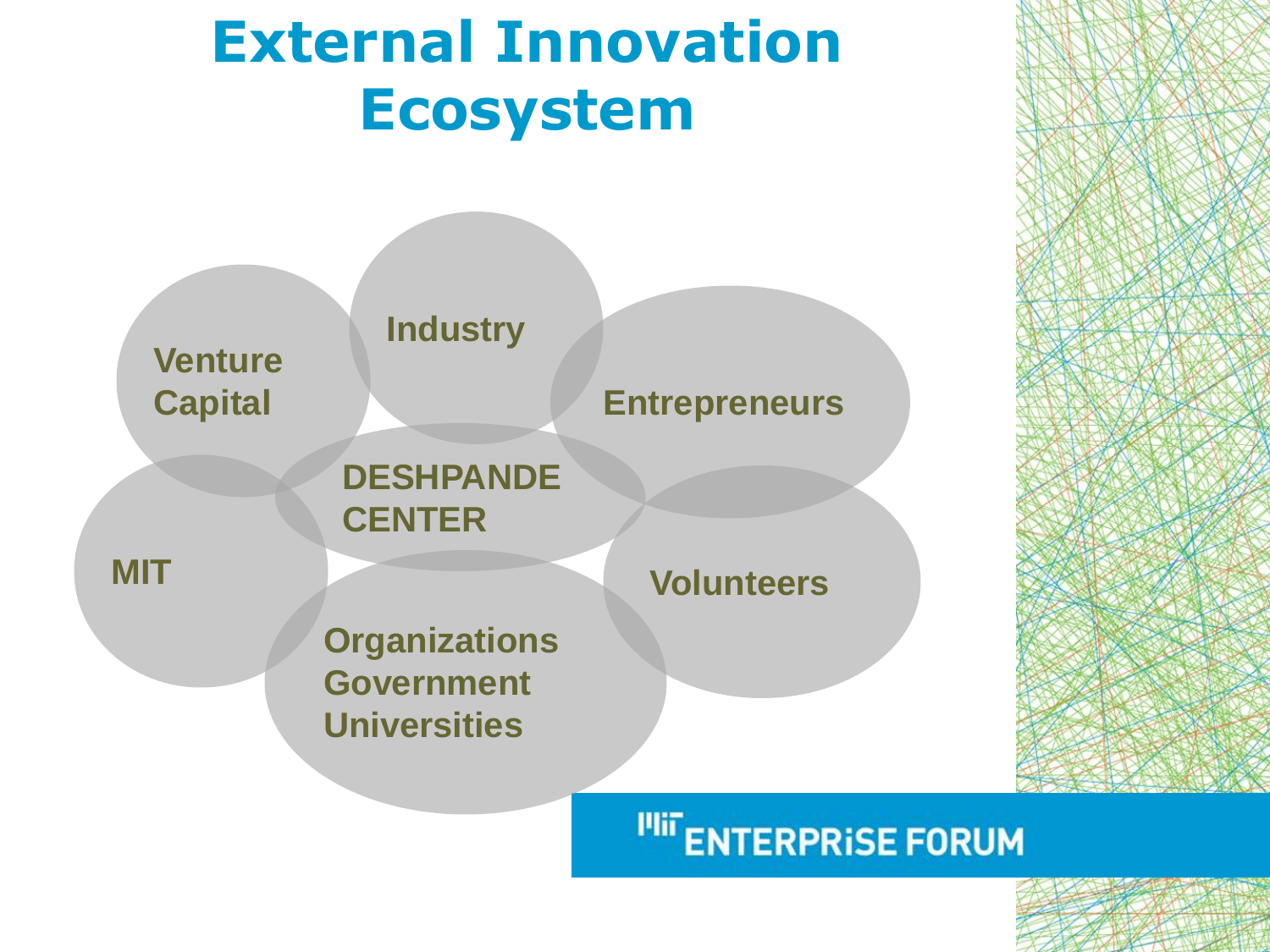## **External Innovation Ecosystem**

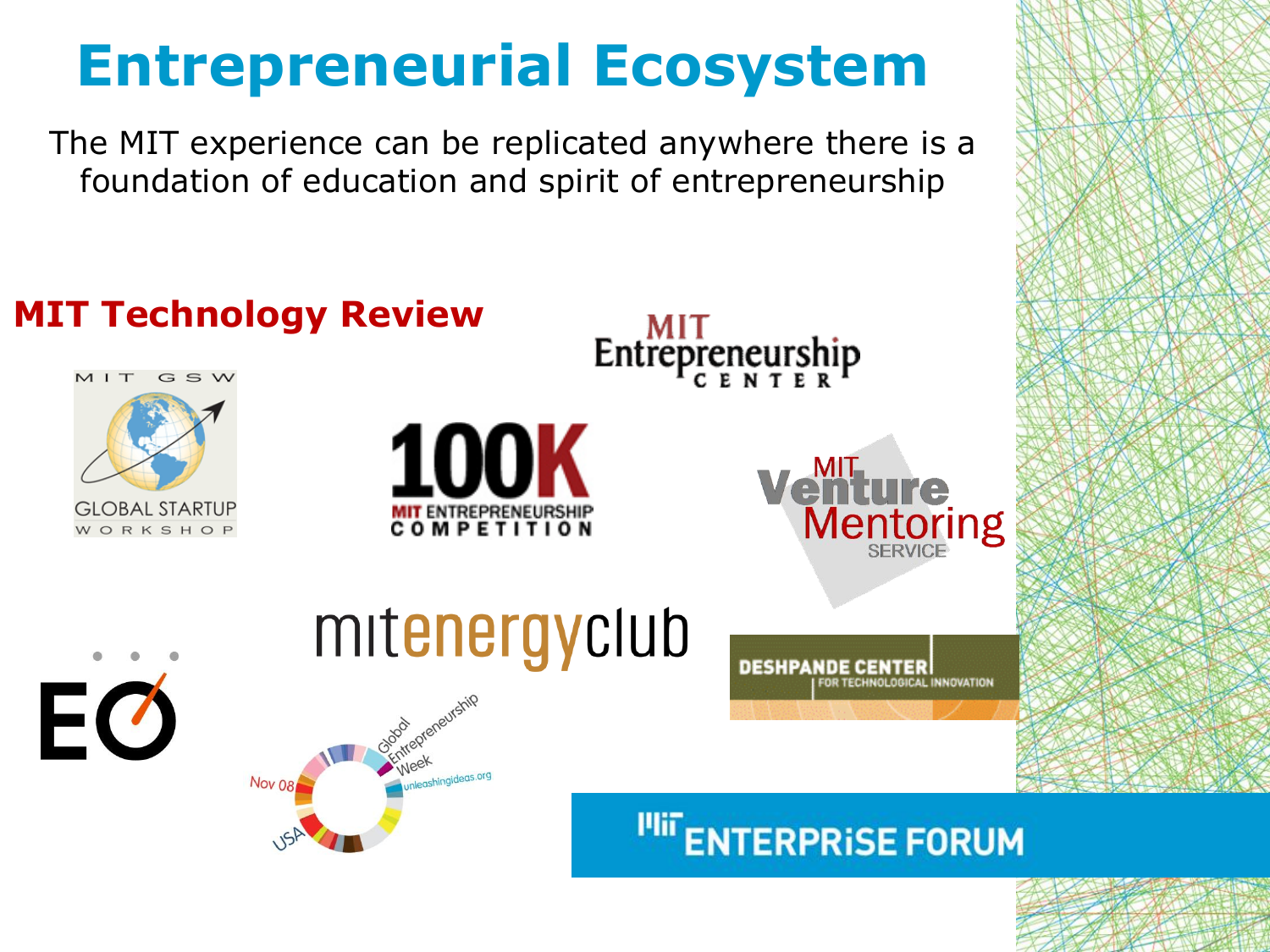## **Entrepreneurial Ecosystem**

The MIT experience can be replicated anywhere there is a foundation of education and spirit of entrepreneurship

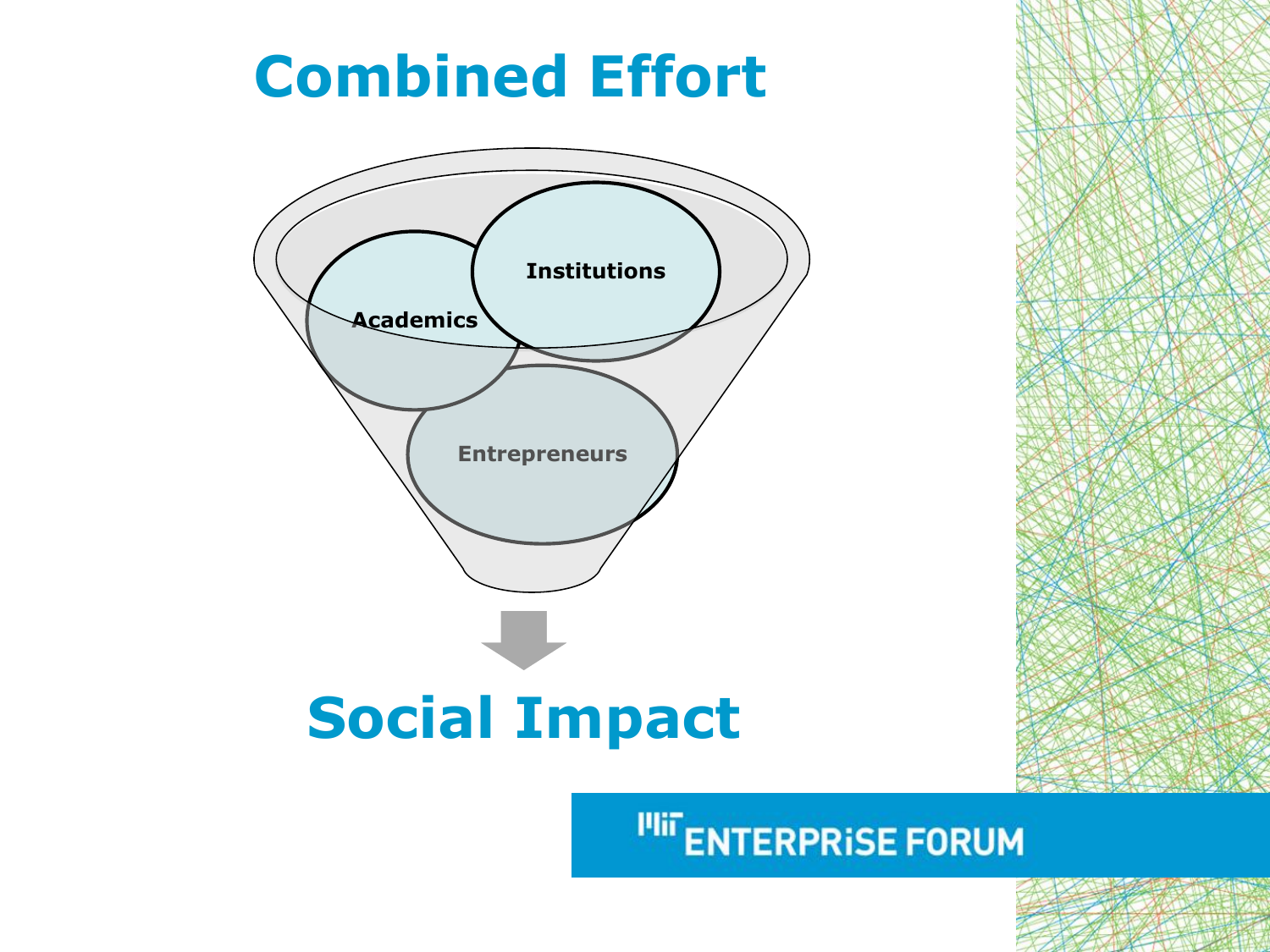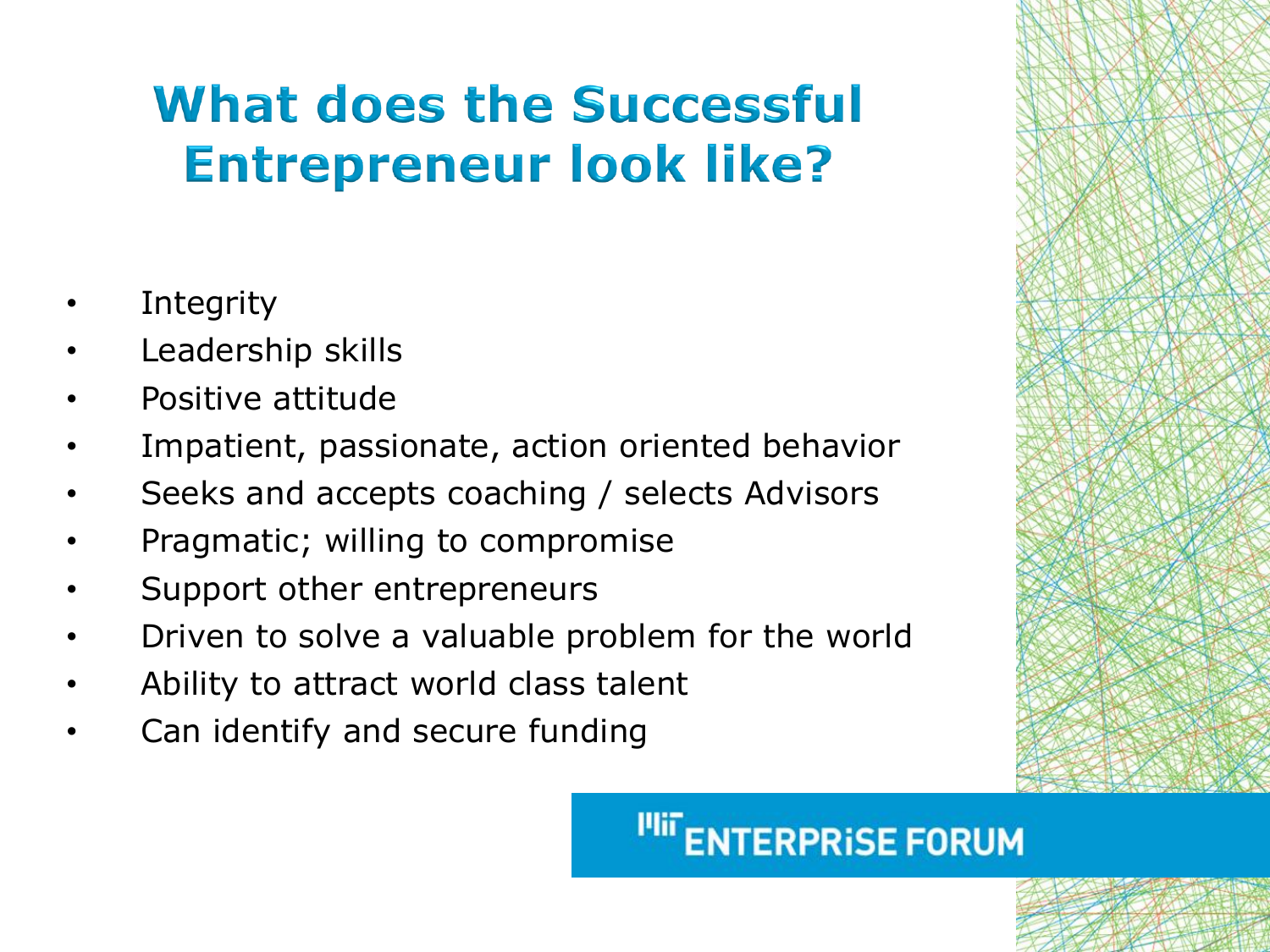## **What does the Successful Entrepreneur look like?**

- **Integrity**
- Leadership skills
- Positive attitude
- Impatient, passionate, action oriented behavior
- Seeks and accepts coaching / selects Advisors
- Pragmatic; willing to compromise
- Support other entrepreneurs
- Driven to solve a valuable problem for the world
- Ability to attract world class talent
- Can identify and secure funding

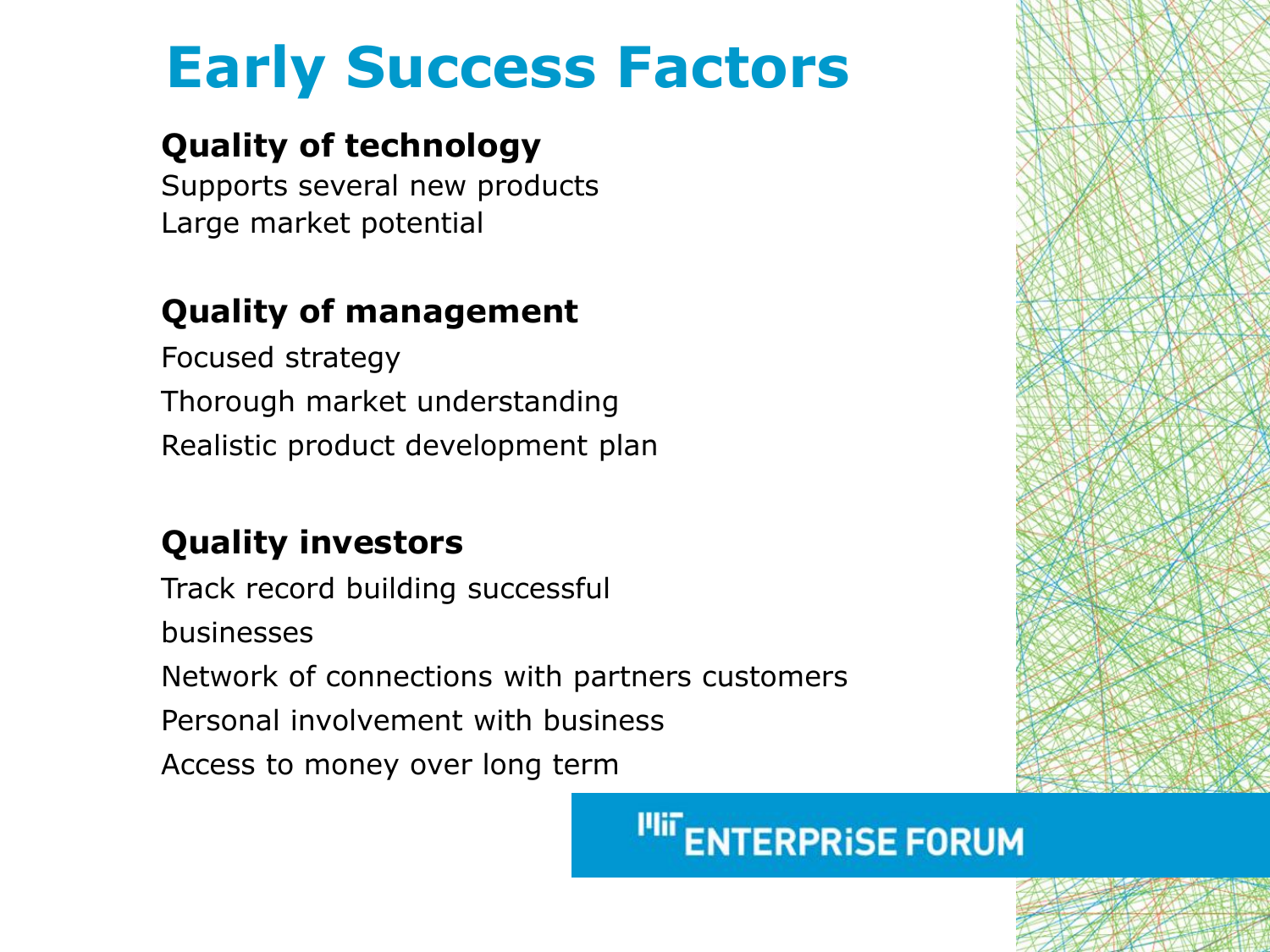## **Early Success Factors**

#### **Quality of technology**

Supports several new products Large market potential

#### **Quality of management**

Focused strategy Thorough market understanding Realistic product development plan

#### **Quality investors**

Track record building successful businesses Network of connections with partners customers Personal involvement with business Access to money over long term

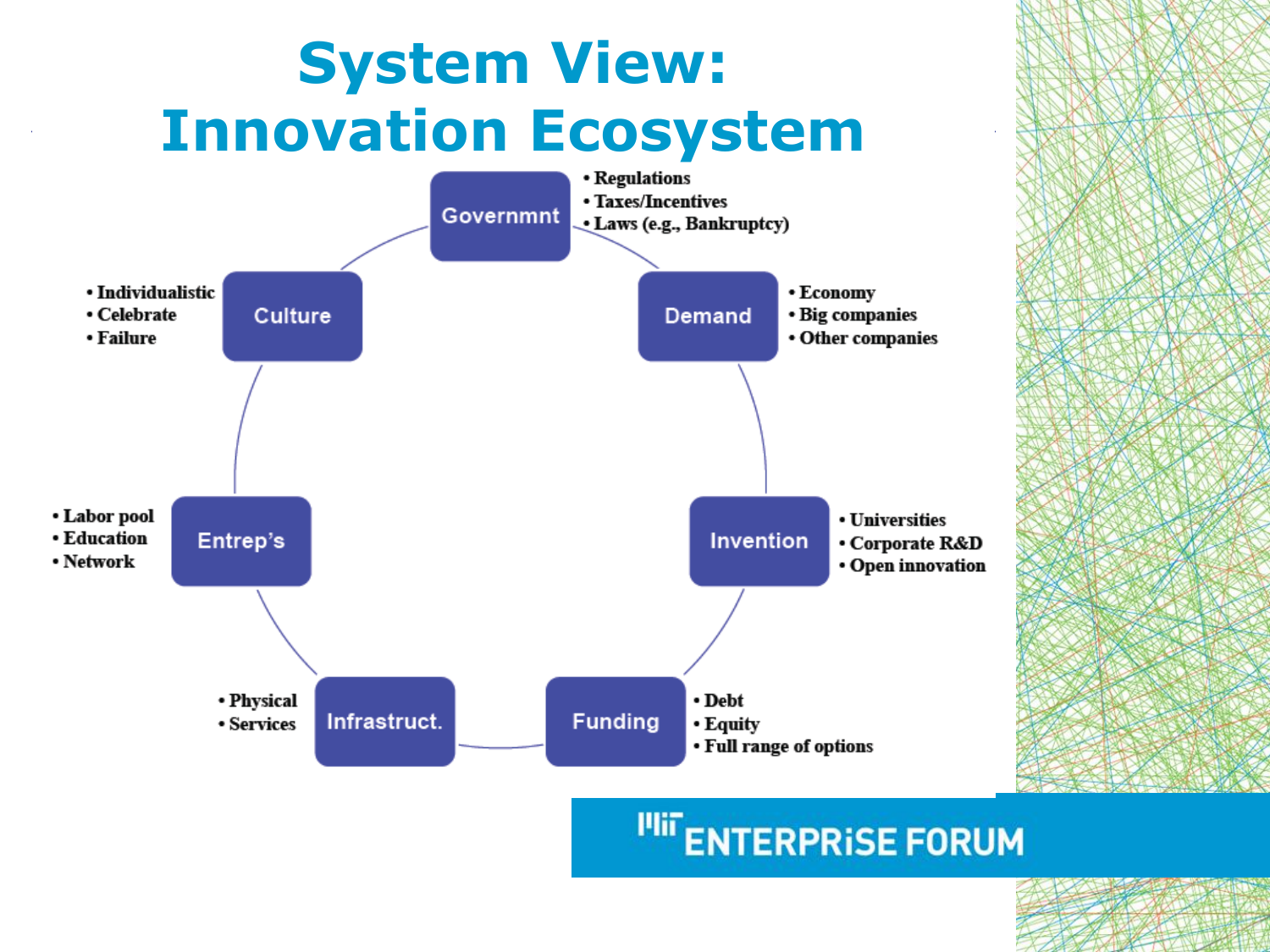## **System View: Innovation Ecosystem**



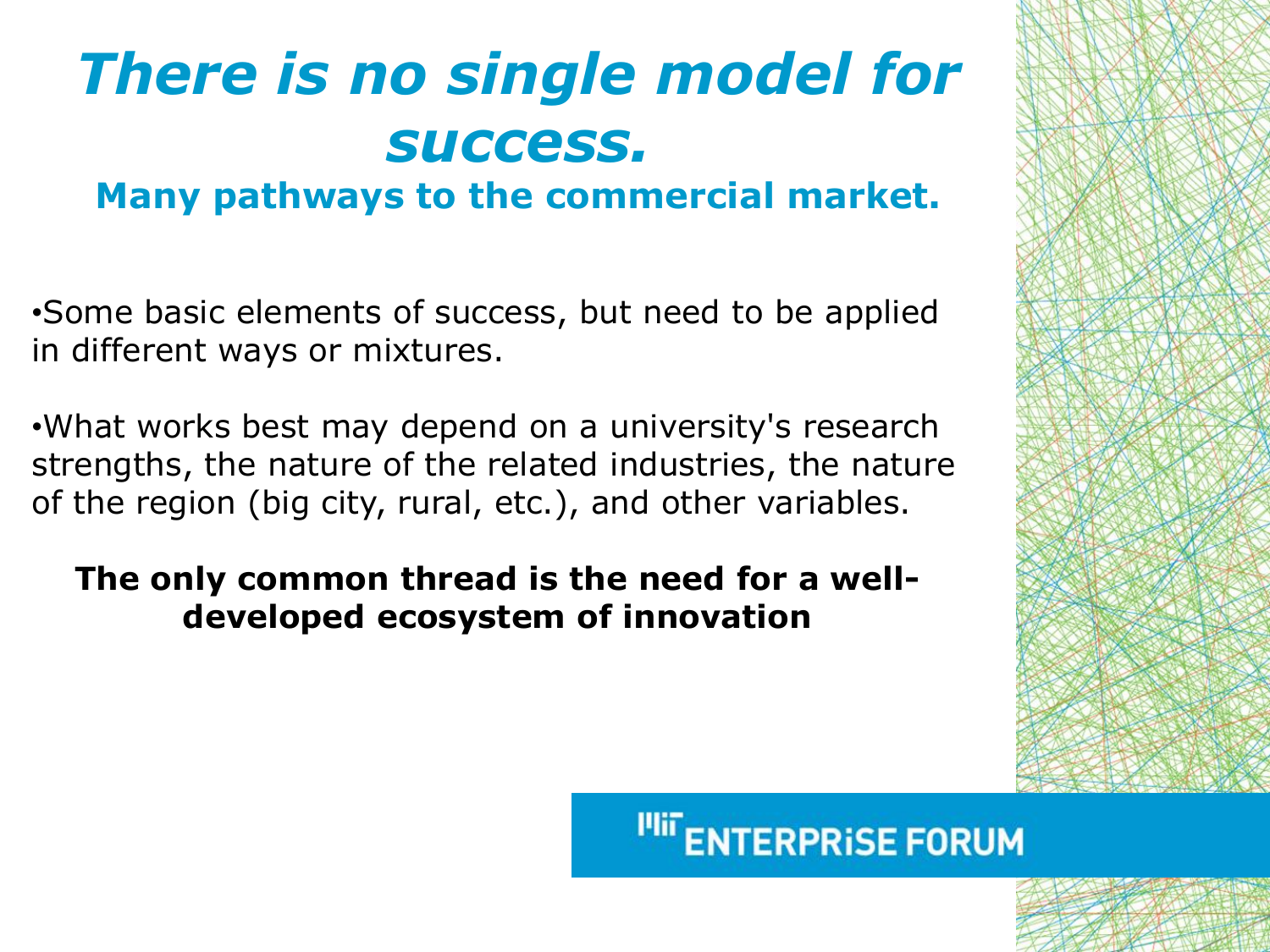# *There is no single model for success.*

**Many pathways to the commercial market.** 

•Some basic elements of success, but need to be applied in different ways or mixtures.

•What works best may depend on a university's research strengths, the nature of the related industries, the nature of the region (big city, rural, etc.), and other variables.

#### **The only common thread is the need for a welldeveloped ecosystem of innovation**

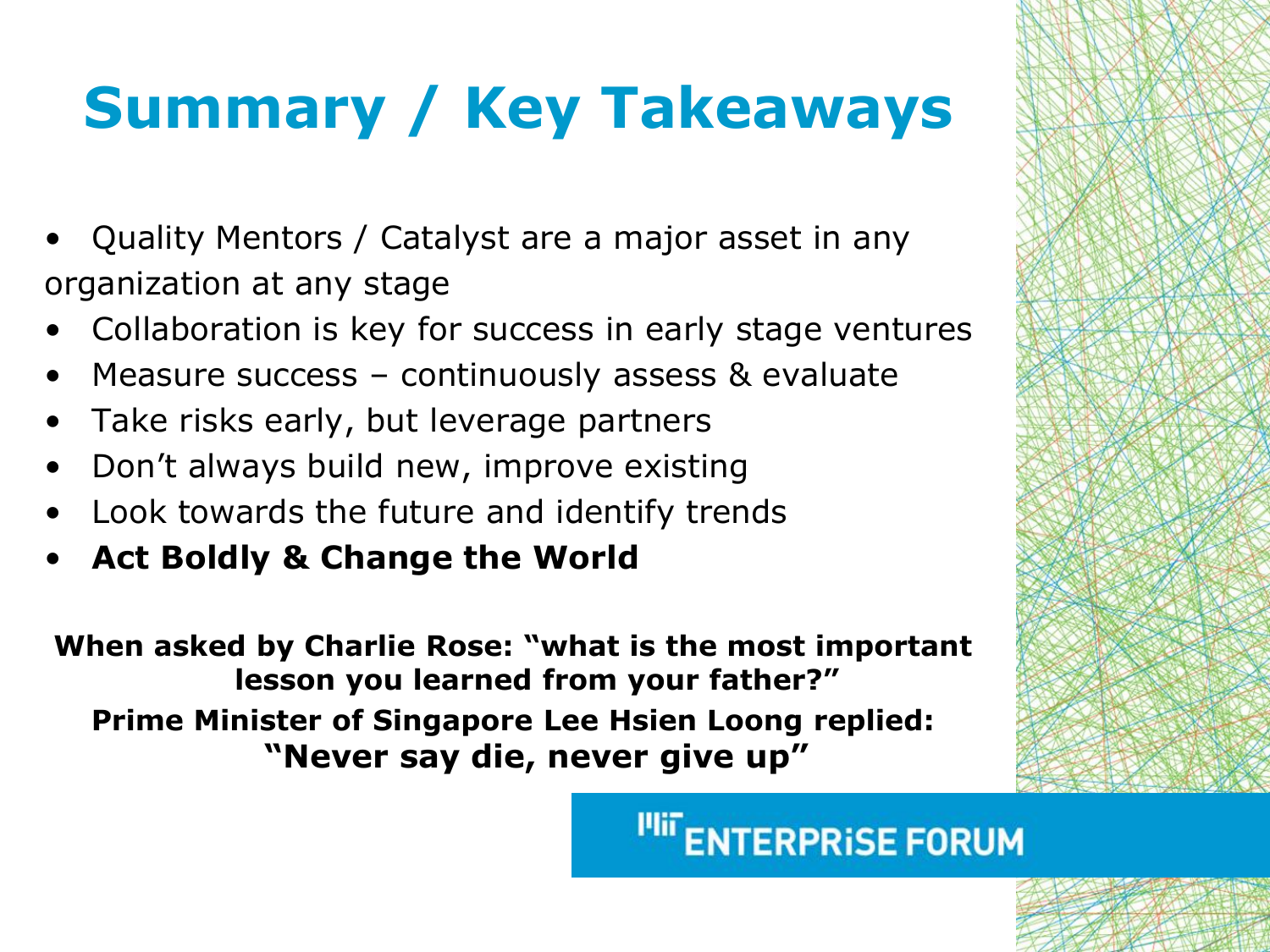# **Summary / Key Takeaways**

- Quality Mentors / Catalyst are a major asset in any organization at any stage
- Collaboration is key for success in early stage ventures
- Measure success continuously assess & evaluate
- Take risks early, but leverage partners
- Don't always build new, improve existing
- Look towards the future and identify trends
- **Act Boldly & Change the World**

**When asked by Charlie Rose: "what is the most important lesson you learned from your father?" Prime Minister of Singapore Lee Hsien Loong replied: "Never say die, never give up"**